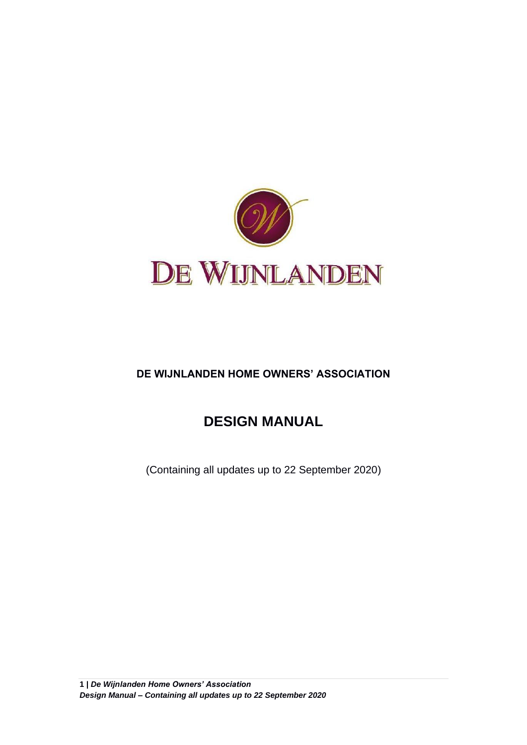

# **DE WIJNLANDEN HOME OWNERS' ASSOCIATION**

# **DESIGN MANUAL**

(Containing all updates up to 22 September 2020)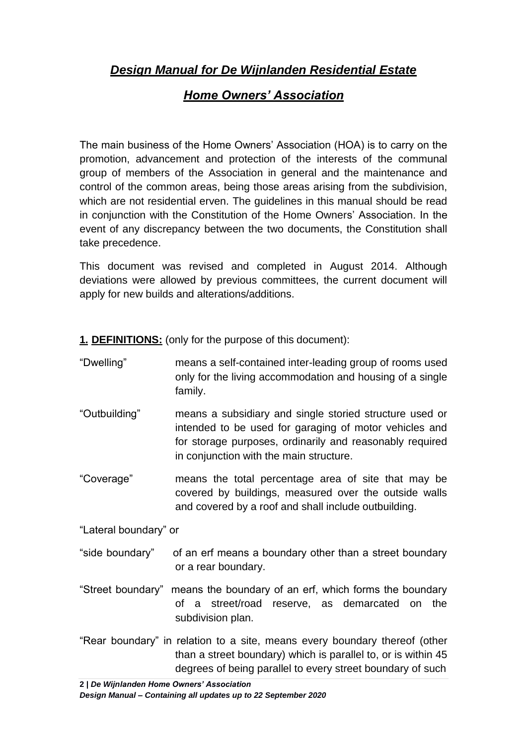# *Design Manual for De Wijnlanden Residential Estate*

# *Home Owners' Association*

The main business of the Home Owners' Association (HOA) is to carry on the promotion, advancement and protection of the interests of the communal group of members of the Association in general and the maintenance and control of the common areas, being those areas arising from the subdivision, which are not residential erven. The guidelines in this manual should be read in conjunction with the Constitution of the Home Owners' Association. In the event of any discrepancy between the two documents, the Constitution shall take precedence.

This document was revised and completed in August 2014. Although deviations were allowed by previous committees, the current document will apply for new builds and alterations/additions.

#### **1. DEFINITIONS:** (only for the purpose of this document):

| "Dwelling" | means a self-contained inter-leading group of rooms used  |
|------------|-----------------------------------------------------------|
|            | only for the living accommodation and housing of a single |
|            | family.                                                   |

- "Outbuilding" means a subsidiary and single storied structure used or intended to be used for garaging of motor vehicles and for storage purposes, ordinarily and reasonably required in conjunction with the main structure.
- "Coverage" means the total percentage area of site that may be covered by buildings, measured over the outside walls and covered by a roof and shall include outbuilding.

"Lateral boundary" or

- "side boundary" of an erf means a boundary other than a street boundary or a rear boundary.
- "Street boundary" means the boundary of an erf, which forms the boundary of a street/road reserve, as demarcated on the subdivision plan.
- "Rear boundary" in relation to a site, means every boundary thereof (other than a street boundary) which is parallel to, or is within 45 degrees of being parallel to every street boundary of such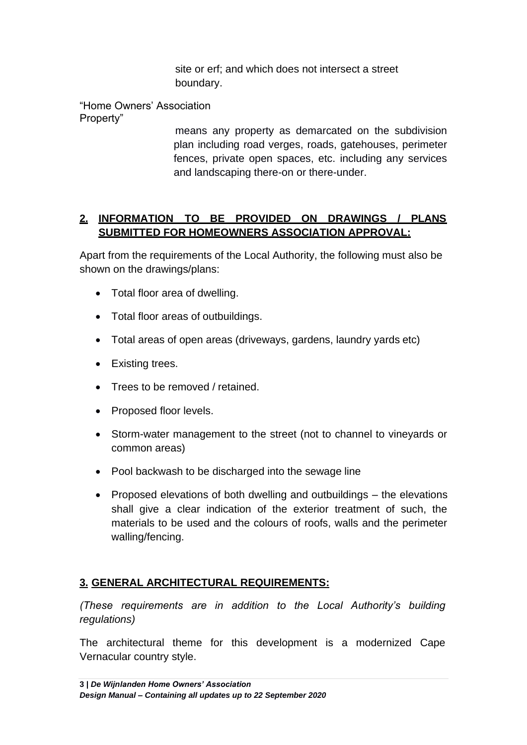site or erf; and which does not intersect a street boundary.

"Home Owners' Association Property"

means any property as demarcated on the subdivision plan including road verges, roads, gatehouses, perimeter fences, private open spaces, etc. including any services and landscaping there-on or there-under.

#### **2. INFORMATION TO BE PROVIDED ON DRAWINGS / PLANS SUBMITTED FOR HOMEOWNERS ASSOCIATION APPROVAL:**

Apart from the requirements of the Local Authority, the following must also be shown on the drawings/plans:

- Total floor area of dwelling.
- Total floor areas of outbuildings.
- Total areas of open areas (driveways, gardens, laundry yards etc)
- Existing trees.
- Trees to be removed / retained.
- Proposed floor levels.
- Storm-water management to the street (not to channel to vineyards or common areas)
- Pool backwash to be discharged into the sewage line
- Proposed elevations of both dwelling and outbuildings the elevations shall give a clear indication of the exterior treatment of such, the materials to be used and the colours of roofs, walls and the perimeter walling/fencing.

#### **3. GENERAL ARCHITECTURAL REQUIREMENTS:**

*(These requirements are in addition to the Local Authority's building regulations)*

The architectural theme for this development is a modernized Cape Vernacular country style.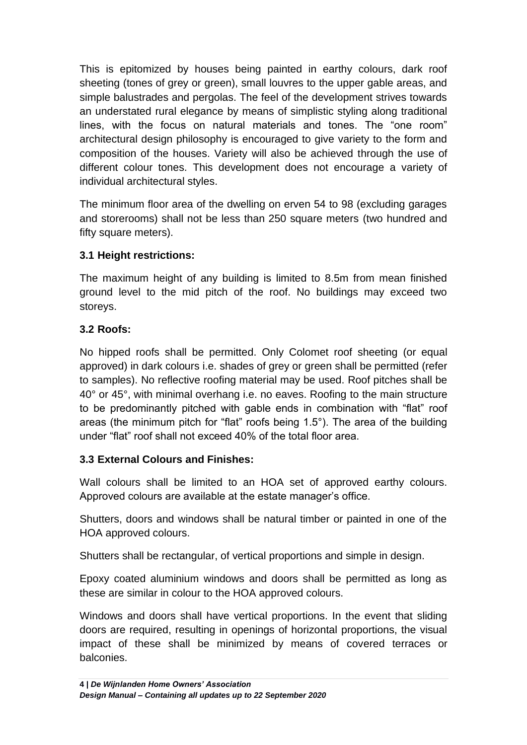This is epitomized by houses being painted in earthy colours, dark roof sheeting (tones of grey or green), small louvres to the upper gable areas, and simple balustrades and pergolas. The feel of the development strives towards an understated rural elegance by means of simplistic styling along traditional lines, with the focus on natural materials and tones. The "one room" architectural design philosophy is encouraged to give variety to the form and composition of the houses. Variety will also be achieved through the use of different colour tones. This development does not encourage a variety of individual architectural styles.

The minimum floor area of the dwelling on erven 54 to 98 (excluding garages and storerooms) shall not be less than 250 square meters (two hundred and fifty square meters).

#### **3.1 Height restrictions:**

The maximum height of any building is limited to 8.5m from mean finished ground level to the mid pitch of the roof. No buildings may exceed two storeys.

### **3.2 Roofs:**

No hipped roofs shall be permitted. Only Colomet roof sheeting (or equal approved) in dark colours i.e. shades of grey or green shall be permitted (refer to samples). No reflective roofing material may be used. Roof pitches shall be 40° or 45°, with minimal overhang i.e. no eaves. Roofing to the main structure to be predominantly pitched with gable ends in combination with "flat" roof areas (the minimum pitch for "flat" roofs being 1.5°). The area of the building under "flat" roof shall not exceed 40% of the total floor area.

## **3.3 External Colours and Finishes:**

Wall colours shall be limited to an HOA set of approved earthy colours. Approved colours are available at the estate manager's office.

Shutters, doors and windows shall be natural timber or painted in one of the HOA approved colours.

Shutters shall be rectangular, of vertical proportions and simple in design.

Epoxy coated aluminium windows and doors shall be permitted as long as these are similar in colour to the HOA approved colours.

Windows and doors shall have vertical proportions. In the event that sliding doors are required, resulting in openings of horizontal proportions, the visual impact of these shall be minimized by means of covered terraces or balconies.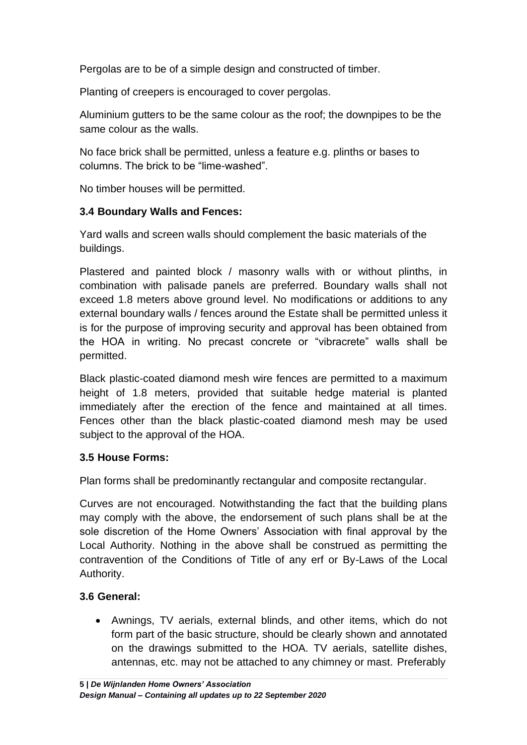Pergolas are to be of a simple design and constructed of timber.

Planting of creepers is encouraged to cover pergolas.

Aluminium gutters to be the same colour as the roof; the downpipes to be the same colour as the walls.

No face brick shall be permitted, unless a feature e.g. plinths or bases to columns. The brick to be "lime-washed".

No timber houses will be permitted.

#### **3.4 Boundary Walls and Fences:**

Yard walls and screen walls should complement the basic materials of the buildings.

Plastered and painted block / masonry walls with or without plinths, in combination with palisade panels are preferred. Boundary walls shall not exceed 1.8 meters above ground level. No modifications or additions to any external boundary walls / fences around the Estate shall be permitted unless it is for the purpose of improving security and approval has been obtained from the HOA in writing. No precast concrete or "vibracrete" walls shall be permitted.

Black plastic-coated diamond mesh wire fences are permitted to a maximum height of 1.8 meters, provided that suitable hedge material is planted immediately after the erection of the fence and maintained at all times. Fences other than the black plastic-coated diamond mesh may be used subject to the approval of the HOA.

#### **3.5 House Forms:**

Plan forms shall be predominantly rectangular and composite rectangular.

Curves are not encouraged. Notwithstanding the fact that the building plans may comply with the above, the endorsement of such plans shall be at the sole discretion of the Home Owners' Association with final approval by the Local Authority. Nothing in the above shall be construed as permitting the contravention of the Conditions of Title of any erf or By-Laws of the Local Authority.

#### **3.6 General:**

• Awnings, TV aerials, external blinds, and other items, which do not form part of the basic structure, should be clearly shown and annotated on the drawings submitted to the HOA. TV aerials, satellite dishes, antennas, etc. may not be attached to any chimney or mast. Preferably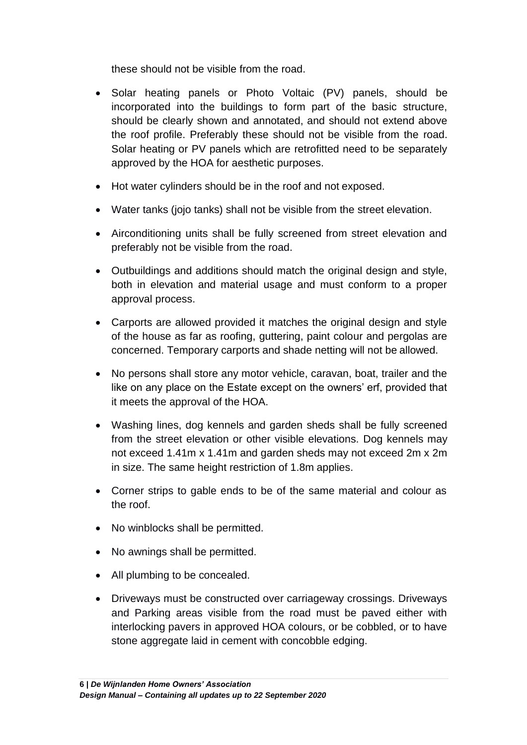these should not be visible from the road.

- Solar heating panels or Photo Voltaic (PV) panels, should be incorporated into the buildings to form part of the basic structure, should be clearly shown and annotated, and should not extend above the roof profile. Preferably these should not be visible from the road. Solar heating or PV panels which are retrofitted need to be separately approved by the HOA for aesthetic purposes.
- Hot water cylinders should be in the roof and not exposed.
- Water tanks (jojo tanks) shall not be visible from the street elevation.
- Airconditioning units shall be fully screened from street elevation and preferably not be visible from the road.
- Outbuildings and additions should match the original design and style, both in elevation and material usage and must conform to a proper approval process.
- Carports are allowed provided it matches the original design and style of the house as far as roofing, guttering, paint colour and pergolas are concerned. Temporary carports and shade netting will not be allowed.
- No persons shall store any motor vehicle, caravan, boat, trailer and the like on any place on the Estate except on the owners' erf, provided that it meets the approval of the HOA.
- Washing lines, dog kennels and garden sheds shall be fully screened from the street elevation or other visible elevations. Dog kennels may not exceed 1.41m x 1.41m and garden sheds may not exceed 2m x 2m in size. The same height restriction of 1.8m applies.
- Corner strips to gable ends to be of the same material and colour as the roof.
- No winblocks shall be permitted.
- No awnings shall be permitted.
- All plumbing to be concealed.
- Driveways must be constructed over carriageway crossings. Driveways and Parking areas visible from the road must be paved either with interlocking pavers in approved HOA colours, or be cobbled, or to have stone aggregate laid in cement with concobble edging.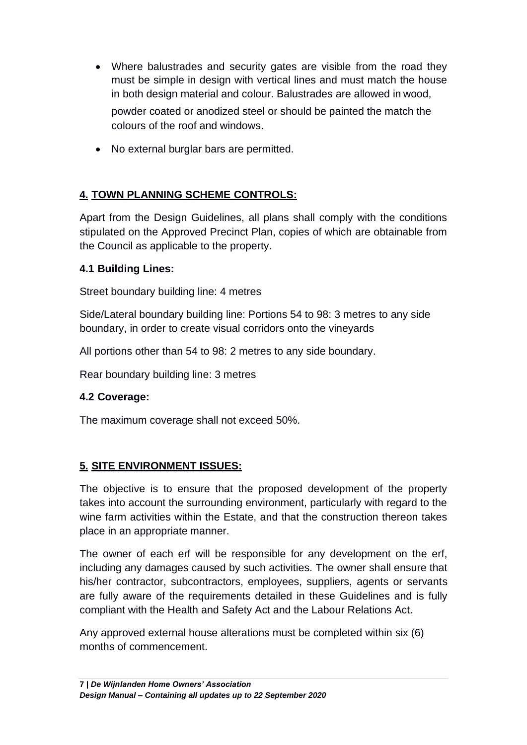- Where balustrades and security gates are visible from the road they must be simple in design with vertical lines and must match the house in both design material and colour. Balustrades are allowed in wood, powder coated or anodized steel or should be painted the match the colours of the roof and windows.
- No external burglar bars are permitted.

## **4. TOWN PLANNING SCHEME CONTROLS:**

Apart from the Design Guidelines, all plans shall comply with the conditions stipulated on the Approved Precinct Plan, copies of which are obtainable from the Council as applicable to the property.

#### **4.1 Building Lines:**

Street boundary building line: 4 metres

Side/Lateral boundary building line: Portions 54 to 98: 3 metres to any side boundary, in order to create visual corridors onto the vineyards

All portions other than 54 to 98: 2 metres to any side boundary.

Rear boundary building line: 3 metres

#### **4.2 Coverage:**

The maximum coverage shall not exceed 50%.

#### **5. SITE ENVIRONMENT ISSUES:**

The objective is to ensure that the proposed development of the property takes into account the surrounding environment, particularly with regard to the wine farm activities within the Estate, and that the construction thereon takes place in an appropriate manner.

The owner of each erf will be responsible for any development on the erf, including any damages caused by such activities. The owner shall ensure that his/her contractor, subcontractors, employees, suppliers, agents or servants are fully aware of the requirements detailed in these Guidelines and is fully compliant with the Health and Safety Act and the Labour Relations Act.

Any approved external house alterations must be completed within six (6) months of commencement.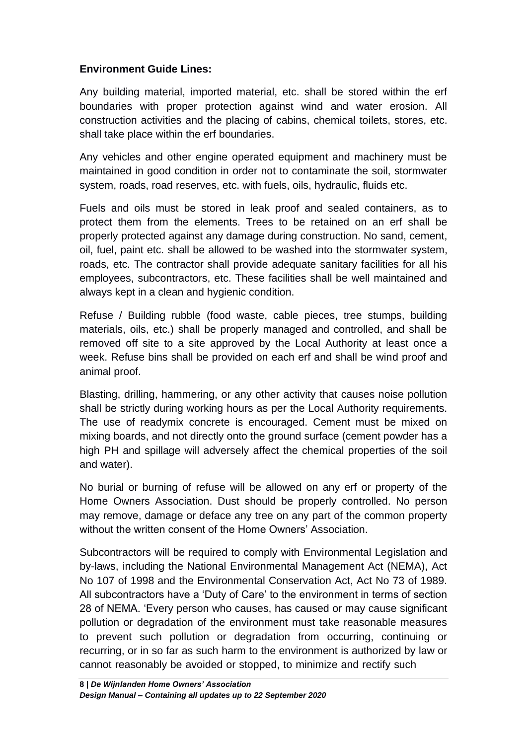#### **Environment Guide Lines:**

Any building material, imported material, etc. shall be stored within the erf boundaries with proper protection against wind and water erosion. All construction activities and the placing of cabins, chemical toilets, stores, etc. shall take place within the erf boundaries.

Any vehicles and other engine operated equipment and machinery must be maintained in good condition in order not to contaminate the soil, stormwater system, roads, road reserves, etc. with fuels, oils, hydraulic, fluids etc.

Fuels and oils must be stored in leak proof and sealed containers, as to protect them from the elements. Trees to be retained on an erf shall be properly protected against any damage during construction. No sand, cement, oil, fuel, paint etc. shall be allowed to be washed into the stormwater system, roads, etc. The contractor shall provide adequate sanitary facilities for all his employees, subcontractors, etc. These facilities shall be well maintained and always kept in a clean and hygienic condition.

Refuse / Building rubble (food waste, cable pieces, tree stumps, building materials, oils, etc.) shall be properly managed and controlled, and shall be removed off site to a site approved by the Local Authority at least once a week. Refuse bins shall be provided on each erf and shall be wind proof and animal proof.

Blasting, drilling, hammering, or any other activity that causes noise pollution shall be strictly during working hours as per the Local Authority requirements. The use of readymix concrete is encouraged. Cement must be mixed on mixing boards, and not directly onto the ground surface (cement powder has a high PH and spillage will adversely affect the chemical properties of the soil and water).

No burial or burning of refuse will be allowed on any erf or property of the Home Owners Association. Dust should be properly controlled. No person may remove, damage or deface any tree on any part of the common property without the written consent of the Home Owners' Association.

Subcontractors will be required to comply with Environmental Legislation and by-laws, including the National Environmental Management Act (NEMA), Act No 107 of 1998 and the Environmental Conservation Act, Act No 73 of 1989. All subcontractors have a 'Duty of Care' to the environment in terms of section 28 of NEMA. 'Every person who causes, has caused or may cause significant pollution or degradation of the environment must take reasonable measures to prevent such pollution or degradation from occurring, continuing or recurring, or in so far as such harm to the environment is authorized by law or cannot reasonably be avoided or stopped, to minimize and rectify such